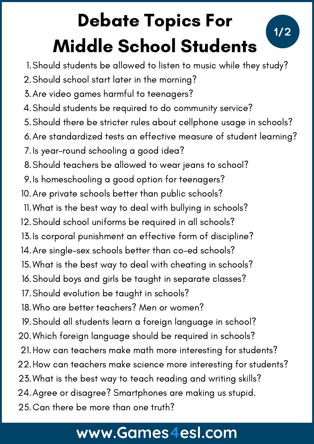## Debate Topics For Middle School Students

**1/2**



- Should school start later in the morning? 2.
- Are video games harmful to teenagers? 3.
- Should students be required to do community service? 4.
- Should there be stricter rules about cellphone usage in schools? 5.
- Are standardized tests an effective measure of student learning? 6.
- 7.Is year-round schooling a good idea?
- Should teachers be allowed to wear jeans to school? 8.
- 9.Is homeschooling a good option for teenagers?
- 10. Are private schools better than public schools?
- What is the best way to deal with bullying in schools? 11.
- 12. Should school uniforms be required in all schools?
- Is corporal punishment an effective form of discipline? 13.
- Are single-sex schools better than co-ed schools? 14.
- What is the best way to deal with cheating in schools? 15.
- 16. Should boys and girls be taught in separate classes?
- 17. Should evolution be taught in schools?
- Who are better teachers? Men or women? 18.
- 19. Should all students learn a foreign language in school?
- Which foreign language should be required in schools? 20.
- 21. How can teachers make math more interesting for students?
- 22. How can teachers make science more interesting for students?
- 23. What is the best way to teach reading and writing skills?
- Agree or disagree? Smartphones are making us stupid. 24.
- 25.Can there be more than one truth?

## **www.Games4esl.com**